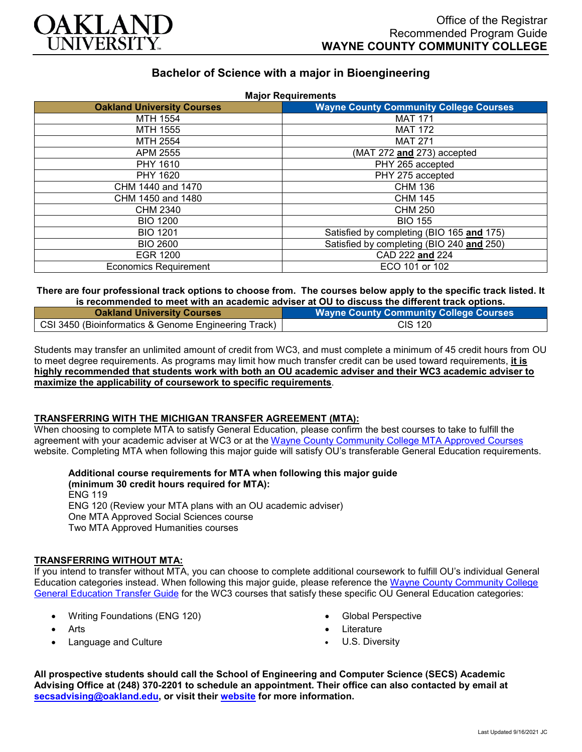

# **Bachelor of Science with a major in Bioengineering**

| <b>Major Requirements</b>         |                                               |
|-----------------------------------|-----------------------------------------------|
| <b>Oakland University Courses</b> | <b>Wayne County Community College Courses</b> |
| MTH 1554                          | <b>MAT 171</b>                                |
| MTH 1555                          | <b>MAT 172</b>                                |
| MTH 2554                          | <b>MAT 271</b>                                |
| APM 2555                          | (MAT 272 and 273) accepted                    |
| PHY 1610                          | PHY 265 accepted                              |
| PHY 1620                          | PHY 275 accepted                              |
| CHM 1440 and 1470                 | <b>CHM 136</b>                                |
| CHM 1450 and 1480                 | <b>CHM 145</b>                                |
| CHM 2340                          | <b>CHM 250</b>                                |
| <b>BIO 1200</b>                   | <b>BIO 155</b>                                |
| <b>BIO 1201</b>                   | Satisfied by completing (BIO 165 and 175)     |
| <b>BIO 2600</b>                   | Satisfied by completing (BIO 240 and 250)     |
| EGR 1200                          | CAD 222 and 224                               |
| <b>Economics Requirement</b>      | ECO 101 or 102                                |

#### **There are four professional track options to choose from. The courses below apply to the specific track listed. It is recommended to meet with an academic adviser at OU to discuss the different track options.**

| <b>Oakland University Courses</b>                    | <b>Wayne County Community College Courses</b> |
|------------------------------------------------------|-----------------------------------------------|
| CSI 3450 (Bioinformatics & Genome Engineering Track) | CIS 120                                       |

Students may transfer an unlimited amount of credit from WC3, and must complete a minimum of 45 credit hours from OU to meet degree requirements. As programs may limit how much transfer credit can be used toward requirements, **it is highly recommended that students work with both an OU academic adviser and their WC3 academic adviser to maximize the applicability of coursework to specific requirements**.

#### **TRANSFERRING WITH THE MICHIGAN TRANSFER AGREEMENT (MTA):**

When choosing to complete MTA to satisfy General Education, please confirm the best courses to take to fulfill the agreement with your academic adviser at WC3 or at the [Wayne County Community College MTA Approved Courses](http://www.wcccd.edu/students/pp_transfer_agreement.html) website. Completing MTA when following this major guide will satisfy OU's transferable General Education requirements.

**Additional course requirements for MTA when following this major guide (minimum 30 credit hours required for MTA):** ENG 119 ENG 120 (Review your MTA plans with an OU academic adviser) One MTA Approved Social Sciences course

Two MTA Approved Humanities courses

## **TRANSFERRING WITHOUT MTA:**

If you intend to transfer without MTA, you can choose to complete additional coursework to fulfill OU's individual General Education categories instead. When following this major guide, please reference the Wayne [County Community College](https://www.oakland.edu/Assets/Oakland/program-guides/wayne-county-community-college/university-general-education-requirements/Wayne%20Gen%20Ed.pdf) [General Education Transfer Guide](https://www.oakland.edu/Assets/Oakland/program-guides/wayne-county-community-college/university-general-education-requirements/Wayne%20Gen%20Ed.pdf) for the WC3 courses that satisfy these specific OU General Education categories:

- Writing Foundations (ENG 120)
- Arts
- Language and Culture
- Global Perspective
- **Literature**
- U.S. Diversity

**All prospective students should call the School of Engineering and Computer Science (SECS) Academic Advising Office at (248) 370-2201 to schedule an appointment. Their office can also contacted by email at [secsadvising@oakland.edu,](mailto:secsadvising@oakland.edu) or visit their [website](https://wwwp.oakland.edu/secs/advising/) for more information.**